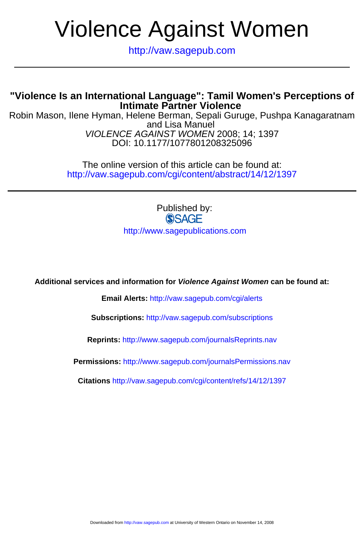# Violence Against Women

http://vaw.sagepub.com

# **Intimate Partner Violence "Violence Is an International Language": Tamil Women's Perceptions of**

DOI: 10.1177/1077801208325096 VIOLENCE AGAINST WOMEN 2008; 14; 1397 and Lisa Manuel Robin Mason, Ilene Hyman, Helene Berman, Sepali Guruge, Pushpa Kanagaratnam

> http://vaw.sagepub.com/cgi/content/abstract/14/12/1397 The online version of this article can be found at:

> > Published by: **SSAGE** http://www.sagepublications.com

**Additional services and information for Violence Against Women can be found at:**

**Email Alerts:** <http://vaw.sagepub.com/cgi/alerts>

**Subscriptions:** <http://vaw.sagepub.com/subscriptions>

**Reprints:** <http://www.sagepub.com/journalsReprints.nav>

**Permissions:** <http://www.sagepub.com/journalsPermissions.nav>

**Citations** <http://vaw.sagepub.com/cgi/content/refs/14/12/1397>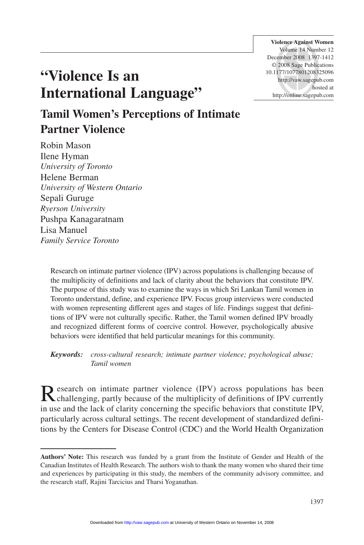**Violence Against Women** Volume 14 Number 12 December 2008 1397-1412 © 2008 Sage Publications 10.1177/1077801208325096 http://vaw.sagepub.com hosted at http://online.sagepub.com

# **"Violence Is an International Language"**

# **Tamil Women's Perceptions of Intimate Partner Violence**

Robin Mason Ilene Hyman *University of Toronto* Helene Berman *University of Western Ontario* Sepali Guruge *Ryerson University* Pushpa Kanagaratnam Lisa Manuel *Family Service Toronto*

> Research on intimate partner violence (IPV) across populations is challenging because of the multiplicity of definitions and lack of clarity about the behaviors that constitute IPV. The purpose of this study was to examine the ways in which Sri Lankan Tamil women in Toronto understand, define, and experience IPV. Focus group interviews were conducted with women representing different ages and stages of life. Findings suggest that definitions of IPV were not culturally specific. Rather, the Tamil women defined IPV broadly and recognized different forms of coercive control. However, psychologically abusive behaviors were identified that held particular meanings for this community.

> *Keywords: cross-cultural research; intimate partner violence; psychological abuse; Tamil women*

Research on intimate partner violence (IPV) across populations has been challenging, partly because of the multiplicity of definitions of IPV currently in use and the lack of clarity concerning the specific behaviors that constitute IPV, particularly across cultural settings. The recent development of standardized definitions by the Centers for Disease Control (CDC) and the World Health Organization

**Authors' Note:** This research was funded by a grant from the Institute of Gender and Health of the Canadian Institutes of Health Research. The authors wish to thank the many women who shared their time and experiences by participating in this study, the members of the community advisory committee, and the research staff, Rajini Tarcicius and Tharsi Yoganathan.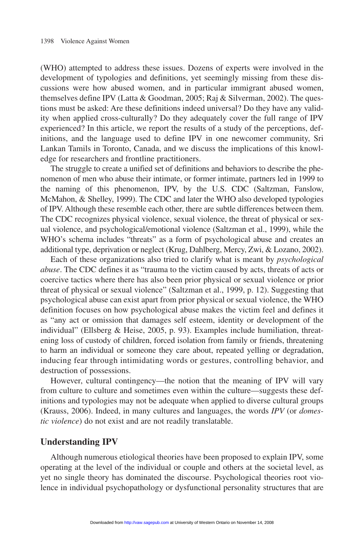(WHO) attempted to address these issues. Dozens of experts were involved in the development of typologies and definitions, yet seemingly missing from these discussions were how abused women, and in particular immigrant abused women, themselves define IPV (Latta & Goodman, 2005; Raj & Silverman, 2002). The questions must be asked: Are these definitions indeed universal? Do they have any validity when applied cross-culturally? Do they adequately cover the full range of IPV experienced? In this article, we report the results of a study of the perceptions, definitions, and the language used to define IPV in one newcomer community, Sri Lankan Tamils in Toronto, Canada, and we discuss the implications of this knowledge for researchers and frontline practitioners.

The struggle to create a unified set of definitions and behaviors to describe the phenomenon of men who abuse their intimate, or former intimate, partners led in 1999 to the naming of this phenomenon, IPV, by the U.S. CDC (Saltzman, Fanslow, McMahon, & Shelley, 1999). The CDC and later the WHO also developed typologies of IPV. Although these resemble each other, there are subtle differences between them. The CDC recognizes physical violence, sexual violence, the threat of physical or sexual violence, and psychological/emotional violence (Saltzman et al., 1999), while the WHO's schema includes "threats" as a form of psychological abuse and creates an additional type, deprivation or neglect (Krug, Dahlberg, Mercy, Zwi, & Lozano, 2002).

Each of these organizations also tried to clarify what is meant by *psychological abuse*. The CDC defines it as "trauma to the victim caused by acts, threats of acts or coercive tactics where there has also been prior physical or sexual violence or prior threat of physical or sexual violence" (Saltzman et al., 1999, p. 12). Suggesting that psychological abuse can exist apart from prior physical or sexual violence, the WHO definition focuses on how psychological abuse makes the victim feel and defines it as "any act or omission that damages self esteem, identity or development of the individual" (Ellsberg & Heise, 2005, p. 93). Examples include humiliation, threatening loss of custody of children, forced isolation from family or friends, threatening to harm an individual or someone they care about, repeated yelling or degradation, inducing fear through intimidating words or gestures, controlling behavior, and destruction of possessions.

However, cultural contingency—the notion that the meaning of IPV will vary from culture to culture and sometimes even within the culture—suggests these definitions and typologies may not be adequate when applied to diverse cultural groups (Krauss, 2006). Indeed, in many cultures and languages, the words *IPV* (or *domestic violence*) do not exist and are not readily translatable.

#### **Understanding IPV**

Although numerous etiological theories have been proposed to explain IPV, some operating at the level of the individual or couple and others at the societal level, as yet no single theory has dominated the discourse. Psychological theories root violence in individual psychopathology or dysfunctional personality structures that are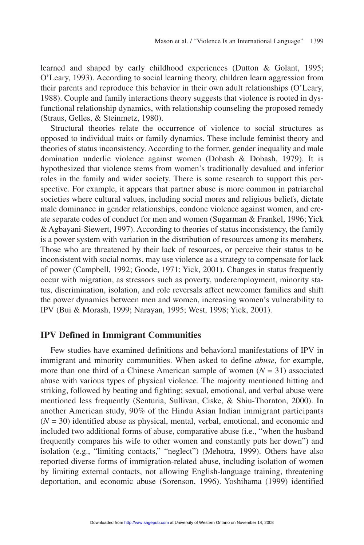learned and shaped by early childhood experiences (Dutton & Golant, 1995; O'Leary, 1993). According to social learning theory, children learn aggression from their parents and reproduce this behavior in their own adult relationships (O'Leary, 1988). Couple and family interactions theory suggests that violence is rooted in dysfunctional relationship dynamics, with relationship counseling the proposed remedy (Straus, Gelles, & Steinmetz, 1980).

Structural theories relate the occurrence of violence to social structures as opposed to individual traits or family dynamics. These include feminist theory and theories of status inconsistency. According to the former, gender inequality and male domination underlie violence against women (Dobash & Dobash, 1979). It is hypothesized that violence stems from women's traditionally devalued and inferior roles in the family and wider society. There is some research to support this perspective. For example, it appears that partner abuse is more common in patriarchal societies where cultural values, including social mores and religious beliefs, dictate male dominance in gender relationships, condone violence against women, and create separate codes of conduct for men and women (Sugarman & Frankel, 1996; Yick & Agbayani-Siewert, 1997). According to theories of status inconsistency, the family is a power system with variation in the distribution of resources among its members. Those who are threatened by their lack of resources, or perceive their status to be inconsistent with social norms, may use violence as a strategy to compensate for lack of power (Campbell, 1992; Goode, 1971; Yick, 2001). Changes in status frequently occur with migration, as stressors such as poverty, underemployment, minority status, discrimination, isolation, and role reversals affect newcomer families and shift the power dynamics between men and women, increasing women's vulnerability to IPV (Bui & Morash, 1999; Narayan, 1995; West, 1998; Yick, 2001).

#### **IPV Defined in Immigrant Communities**

Few studies have examined definitions and behavioral manifestations of IPV in immigrant and minority communities. When asked to define *abuse*, for example, more than one third of a Chinese American sample of women  $(N = 31)$  associated abuse with various types of physical violence. The majority mentioned hitting and striking, followed by beating and fighting; sexual, emotional, and verbal abuse were mentioned less frequently (Senturia, Sullivan, Ciske, & Shiu-Thornton, 2000). In another American study, 90% of the Hindu Asian Indian immigrant participants  $(N = 30)$  identified abuse as physical, mental, verbal, emotional, and economic and included two additional forms of abuse, comparative abuse (i.e., "when the husband frequently compares his wife to other women and constantly puts her down") and isolation (e.g., "limiting contacts," "neglect") (Mehotra, 1999). Others have also reported diverse forms of immigration-related abuse, including isolation of women by limiting external contacts, not allowing English-language training, threatening deportation, and economic abuse (Sorenson, 1996). Yoshihama (1999) identified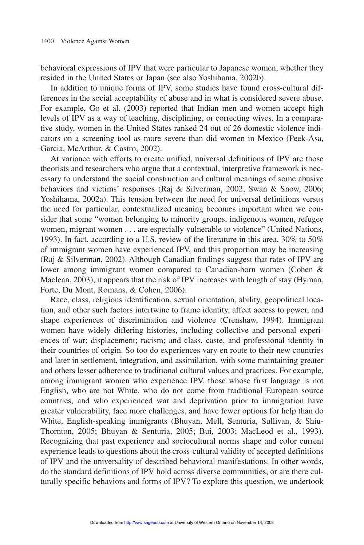behavioral expressions of IPV that were particular to Japanese women, whether they resided in the United States or Japan (see also Yoshihama, 2002b).

In addition to unique forms of IPV, some studies have found cross-cultural differences in the social acceptability of abuse and in what is considered severe abuse. For example, Go et al. (2003) reported that Indian men and women accept high levels of IPV as a way of teaching, disciplining, or correcting wives. In a comparative study, women in the United States ranked 24 out of 26 domestic violence indicators on a screening tool as more severe than did women in Mexico (Peek-Asa, Garcia, McArthur, & Castro, 2002).

At variance with efforts to create unified, universal definitions of IPV are those theorists and researchers who argue that a contextual, interpretive framework is necessary to understand the social construction and cultural meanings of some abusive behaviors and victims' responses (Raj & Silverman, 2002; Swan & Snow, 2006; Yoshihama, 2002a). This tension between the need for universal definitions versus the need for particular, contextualized meaning becomes important when we consider that some "women belonging to minority groups, indigenous women, refugee women, migrant women . . . are especially vulnerable to violence" (United Nations, 1993). In fact, according to a U.S. review of the literature in this area, 30% to 50% of immigrant women have experienced IPV, and this proportion may be increasing (Raj & Silverman, 2002). Although Canadian findings suggest that rates of IPV are lower among immigrant women compared to Canadian-born women (Cohen & Maclean, 2003), it appears that the risk of IPV increases with length of stay (Hyman, Forte, Du Mont, Romans, & Cohen, 2006).

Race, class, religious identification, sexual orientation, ability, geopolitical location, and other such factors intertwine to frame identity, affect access to power, and shape experiences of discrimination and violence (Crenshaw, 1994). Immigrant women have widely differing histories, including collective and personal experiences of war; displacement; racism; and class, caste, and professional identity in their countries of origin. So too do experiences vary en route to their new countries and later in settlement, integration, and assimilation, with some maintaining greater and others lesser adherence to traditional cultural values and practices. For example, among immigrant women who experience IPV, those whose first language is not English, who are not White, who do not come from traditional European source countries, and who experienced war and deprivation prior to immigration have greater vulnerability, face more challenges, and have fewer options for help than do White, English-speaking immigrants (Bhuyan, Mell, Senturia, Sullivan, & Shiu-Thornton, 2005; Bhuyan & Senturia, 2005; Bui, 2003; MacLeod et al., 1993). Recognizing that past experience and sociocultural norms shape and color current experience leads to questions about the cross-cultural validity of accepted definitions of IPV and the universality of described behavioral manifestations. In other words, do the standard definitions of IPV hold across diverse communities, or are there culturally specific behaviors and forms of IPV? To explore this question, we undertook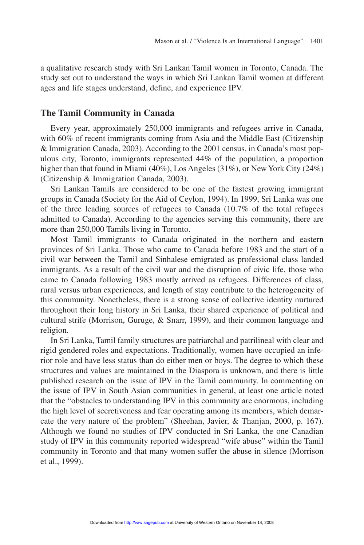a qualitative research study with Sri Lankan Tamil women in Toronto, Canada. The study set out to understand the ways in which Sri Lankan Tamil women at different ages and life stages understand, define, and experience IPV.

#### **The Tamil Community in Canada**

Every year, approximately 250,000 immigrants and refugees arrive in Canada, with 60% of recent immigrants coming from Asia and the Middle East (Citizenship & Immigration Canada, 2003). According to the 2001 census, in Canada's most populous city, Toronto, immigrants represented 44% of the population, a proportion higher than that found in Miami (40%), Los Angeles (31%), or New York City (24%) (Citizenship & Immigration Canada, 2003).

Sri Lankan Tamils are considered to be one of the fastest growing immigrant groups in Canada (Society for the Aid of Ceylon, 1994). In 1999, Sri Lanka was one of the three leading sources of refugees to Canada (10.7% of the total refugees admitted to Canada). According to the agencies serving this community, there are more than 250,000 Tamils living in Toronto.

Most Tamil immigrants to Canada originated in the northern and eastern provinces of Sri Lanka. Those who came to Canada before 1983 and the start of a civil war between the Tamil and Sinhalese emigrated as professional class landed immigrants. As a result of the civil war and the disruption of civic life, those who came to Canada following 1983 mostly arrived as refugees. Differences of class, rural versus urban experiences, and length of stay contribute to the heterogeneity of this community. Nonetheless, there is a strong sense of collective identity nurtured throughout their long history in Sri Lanka, their shared experience of political and cultural strife (Morrison, Guruge, & Snarr, 1999), and their common language and religion.

In Sri Lanka, Tamil family structures are patriarchal and patrilineal with clear and rigid gendered roles and expectations. Traditionally, women have occupied an inferior role and have less status than do either men or boys. The degree to which these structures and values are maintained in the Diaspora is unknown, and there is little published research on the issue of IPV in the Tamil community. In commenting on the issue of IPV in South Asian communities in general, at least one article noted that the "obstacles to understanding IPV in this community are enormous, including the high level of secretiveness and fear operating among its members, which demarcate the very nature of the problem" (Sheehan, Javier, & Thanjan, 2000, p. 167). Although we found no studies of IPV conducted in Sri Lanka, the one Canadian study of IPV in this community reported widespread "wife abuse" within the Tamil community in Toronto and that many women suffer the abuse in silence (Morrison et al., 1999).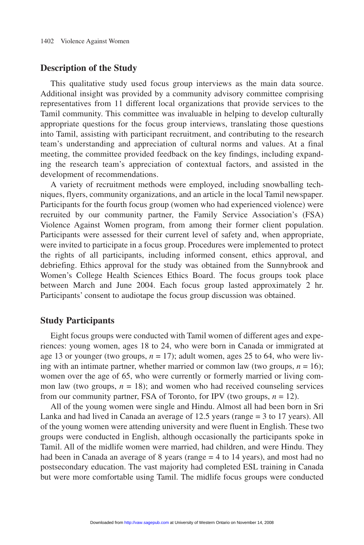#### **Description of the Study**

This qualitative study used focus group interviews as the main data source. Additional insight was provided by a community advisory committee comprising representatives from 11 different local organizations that provide services to the Tamil community. This committee was invaluable in helping to develop culturally appropriate questions for the focus group interviews, translating those questions into Tamil, assisting with participant recruitment, and contributing to the research team's understanding and appreciation of cultural norms and values. At a final meeting, the committee provided feedback on the key findings, including expanding the research team's appreciation of contextual factors, and assisted in the development of recommendations.

A variety of recruitment methods were employed, including snowballing techniques, flyers, community organizations, and an article in the local Tamil newspaper. Participants for the fourth focus group (women who had experienced violence) were recruited by our community partner, the Family Service Association's (FSA) Violence Against Women program, from among their former client population. Participants were assessed for their current level of safety and, when appropriate, were invited to participate in a focus group. Procedures were implemented to protect the rights of all participants, including informed consent, ethics approval, and debriefing. Ethics approval for the study was obtained from the Sunnybrook and Women's College Health Sciences Ethics Board. The focus groups took place between March and June 2004. Each focus group lasted approximately 2 hr. Participants' consent to audiotape the focus group discussion was obtained.

#### **Study Participants**

Eight focus groups were conducted with Tamil women of different ages and experiences: young women, ages 18 to 24, who were born in Canada or immigrated at age 13 or younger (two groups,  $n = 17$ ); adult women, ages 25 to 64, who were living with an intimate partner, whether married or common law (two groups,  $n = 16$ ); women over the age of 65, who were currently or formerly married or living common law (two groups,  $n = 18$ ); and women who had received counseling services from our community partner, FSA of Toronto, for IPV (two groups, *n* = 12).

All of the young women were single and Hindu. Almost all had been born in Sri Lanka and had lived in Canada an average of 12.5 years (range = 3 to 17 years). All of the young women were attending university and were fluent in English. These two groups were conducted in English, although occasionally the participants spoke in Tamil. All of the midlife women were married, had children, and were Hindu. They had been in Canada an average of 8 years (range = 4 to 14 years), and most had no postsecondary education. The vast majority had completed ESL training in Canada but were more comfortable using Tamil. The midlife focus groups were conducted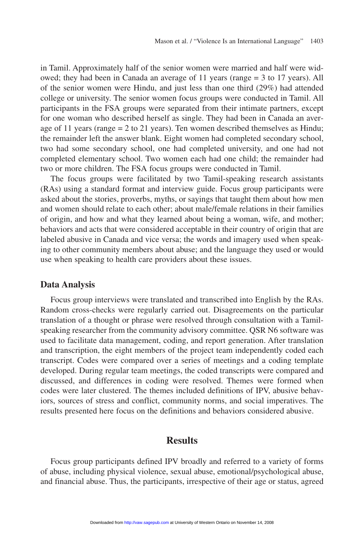in Tamil. Approximately half of the senior women were married and half were widowed; they had been in Canada an average of 11 years (range = 3 to 17 years). All of the senior women were Hindu, and just less than one third (29%) had attended college or university. The senior women focus groups were conducted in Tamil. All participants in the FSA groups were separated from their intimate partners, except for one woman who described herself as single. They had been in Canada an average of 11 years (range = 2 to 21 years). Ten women described themselves as Hindu; the remainder left the answer blank. Eight women had completed secondary school, two had some secondary school, one had completed university, and one had not completed elementary school. Two women each had one child; the remainder had two or more children. The FSA focus groups were conducted in Tamil.

The focus groups were facilitated by two Tamil-speaking research assistants (RAs) using a standard format and interview guide. Focus group participants were asked about the stories, proverbs, myths, or sayings that taught them about how men and women should relate to each other; about male/female relations in their families of origin, and how and what they learned about being a woman, wife, and mother; behaviors and acts that were considered acceptable in their country of origin that are labeled abusive in Canada and vice versa; the words and imagery used when speaking to other community members about abuse; and the language they used or would use when speaking to health care providers about these issues.

#### **Data Analysis**

Focus group interviews were translated and transcribed into English by the RAs. Random cross-checks were regularly carried out. Disagreements on the particular translation of a thought or phrase were resolved through consultation with a Tamilspeaking researcher from the community advisory committee. QSR N6 software was used to facilitate data management, coding, and report generation. After translation and transcription, the eight members of the project team independently coded each transcript. Codes were compared over a series of meetings and a coding template developed. During regular team meetings, the coded transcripts were compared and discussed, and differences in coding were resolved. Themes were formed when codes were later clustered. The themes included definitions of IPV, abusive behaviors, sources of stress and conflict, community norms, and social imperatives. The results presented here focus on the definitions and behaviors considered abusive.

# **Results**

Focus group participants defined IPV broadly and referred to a variety of forms of abuse, including physical violence, sexual abuse, emotional/psychological abuse, and financial abuse. Thus, the participants, irrespective of their age or status, agreed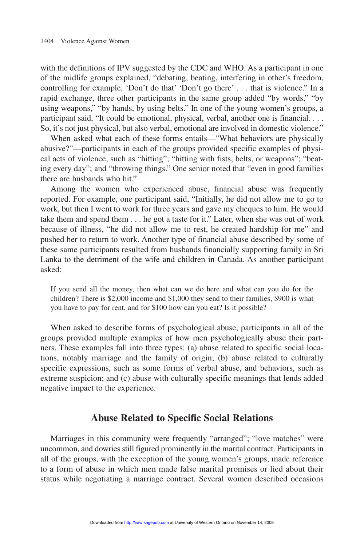with the definitions of IPV suggested by the CDC and WHO. As a participant in one of the midlife groups explained, "debating, beating, interfering in other's freedom, controlling for example, 'Don't do that' 'Don't go there' . . . that is violence." In a rapid exchange, three other participants in the same group added "by words," "by using weapons," "by hands, by using belts." In one of the young women's groups, a participant said, "It could be emotional, physical, verbal, another one is financial. . . . So, it's not just physical, but also verbal, emotional are involved in domestic violence."

When asked what each of these forms entails—"What behaviors are physically abusive?"—participants in each of the groups provided specific examples of physical acts of violence, such as "hitting"; "hitting with fists, belts, or weapons"; "beating every day"; and "throwing things." One senior noted that "even in good families there are husbands who hit."

Among the women who experienced abuse, financial abuse was frequently reported. For example, one participant said, "Initially, he did not allow me to go to work, but then I went to work for three years and gave my cheques to him. He would take them and spend them . . . he got a taste for it." Later, when she was out of work because of illness, "he did not allow me to rest, he created hardship for me" and pushed her to return to work. Another type of financial abuse described by some of these same participants resulted from husbands financially supporting family in Sri Lanka to the detriment of the wife and children in Canada. As another participant asked:

If you send all the money, then what can we do here and what can you do for the children? There is \$2,000 income and \$1,000 they send to their families, \$900 is what you have to pay for rent, and for \$100 how can you eat? Is it possible?

When asked to describe forms of psychological abuse, participants in all of the groups provided multiple examples of how men psychologically abuse their partners. These examples fall into three types: (a) abuse related to specific social locations, notably marriage and the family of origin; (b) abuse related to culturally specific expressions, such as some forms of verbal abuse, and behaviors, such as extreme suspicion; and (c) abuse with culturally specific meanings that lends added negative impact to the experience.

## **Abuse Related to Specific Social Relations**

Marriages in this community were frequently "arranged"; "love matches" were uncommon, and dowries still figured prominently in the marital contract. Participants in all of the groups, with the exception of the young women's groups, made reference to a form of abuse in which men made false marital promises or lied about their status while negotiating a marriage contract. Several women described occasions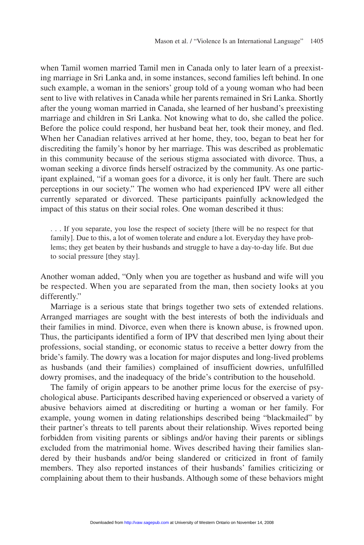when Tamil women married Tamil men in Canada only to later learn of a preexisting marriage in Sri Lanka and, in some instances, second families left behind. In one such example, a woman in the seniors' group told of a young woman who had been sent to live with relatives in Canada while her parents remained in Sri Lanka. Shortly after the young woman married in Canada, she learned of her husband's preexisting marriage and children in Sri Lanka. Not knowing what to do, she called the police. Before the police could respond, her husband beat her, took their money, and fled. When her Canadian relatives arrived at her home, they, too, began to beat her for discrediting the family's honor by her marriage. This was described as problematic in this community because of the serious stigma associated with divorce. Thus, a woman seeking a divorce finds herself ostracized by the community. As one participant explained, "if a woman goes for a divorce, it is only her fault. There are such perceptions in our society." The women who had experienced IPV were all either currently separated or divorced. These participants painfully acknowledged the impact of this status on their social roles. One woman described it thus:

. . . If you separate, you lose the respect of society [there will be no respect for that family]. Due to this, a lot of women tolerate and endure a lot. Everyday they have problems; they get beaten by their husbands and struggle to have a day-to-day life. But due to social pressure [they stay].

Another woman added, "Only when you are together as husband and wife will you be respected. When you are separated from the man, then society looks at you differently."

Marriage is a serious state that brings together two sets of extended relations. Arranged marriages are sought with the best interests of both the individuals and their families in mind. Divorce, even when there is known abuse, is frowned upon. Thus, the participants identified a form of IPV that described men lying about their professions, social standing, or economic status to receive a better dowry from the bride's family. The dowry was a location for major disputes and long-lived problems as husbands (and their families) complained of insufficient dowries, unfulfilled dowry promises, and the inadequacy of the bride's contribution to the household.

The family of origin appears to be another prime locus for the exercise of psychological abuse. Participants described having experienced or observed a variety of abusive behaviors aimed at discrediting or hurting a woman or her family. For example, young women in dating relationships described being "blackmailed" by their partner's threats to tell parents about their relationship. Wives reported being forbidden from visiting parents or siblings and/or having their parents or siblings excluded from the matrimonial home. Wives described having their families slandered by their husbands and/or being slandered or criticized in front of family members. They also reported instances of their husbands' families criticizing or complaining about them to their husbands. Although some of these behaviors might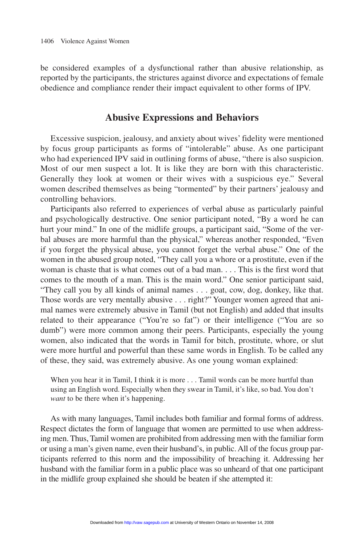be considered examples of a dysfunctional rather than abusive relationship, as reported by the participants, the strictures against divorce and expectations of female obedience and compliance render their impact equivalent to other forms of IPV.

#### **Abusive Expressions and Behaviors**

Excessive suspicion, jealousy, and anxiety about wives' fidelity were mentioned by focus group participants as forms of "intolerable" abuse. As one participant who had experienced IPV said in outlining forms of abuse, "there is also suspicion. Most of our men suspect a lot. It is like they are born with this characteristic. Generally they look at women or their wives with a suspicious eye." Several women described themselves as being "tormented" by their partners' jealousy and controlling behaviors.

Participants also referred to experiences of verbal abuse as particularly painful and psychologically destructive. One senior participant noted, "By a word he can hurt your mind." In one of the midlife groups, a participant said, "Some of the verbal abuses are more harmful than the physical," whereas another responded, "Even if you forget the physical abuse, you cannot forget the verbal abuse." One of the women in the abused group noted, "They call you a whore or a prostitute, even if the woman is chaste that is what comes out of a bad man. . . . This is the first word that comes to the mouth of a man. This is the main word." One senior participant said, "They call you by all kinds of animal names . . . goat, cow, dog, donkey, like that. Those words are very mentally abusive . . . right?" Younger women agreed that animal names were extremely abusive in Tamil (but not English) and added that insults related to their appearance ("You're so fat") or their intelligence ("You are so dumb") were more common among their peers. Participants, especially the young women, also indicated that the words in Tamil for bitch, prostitute, whore, or slut were more hurtful and powerful than these same words in English. To be called any of these, they said, was extremely abusive. As one young woman explained:

When you hear it in Tamil, I think it is more . . . Tamil words can be more hurtful than using an English word. Especially when they swear in Tamil, it's like, so bad. You don't *want* to be there when it's happening.

As with many languages, Tamil includes both familiar and formal forms of address. Respect dictates the form of language that women are permitted to use when addressing men. Thus, Tamil women are prohibited from addressing men with the familiar form or using a man's given name, even their husband's, in public. All of the focus group participants referred to this norm and the impossibility of breaching it. Addressing her husband with the familiar form in a public place was so unheard of that one participant in the midlife group explained she should be beaten if she attempted it: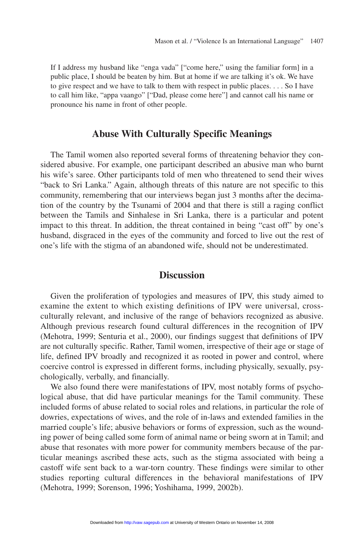If I address my husband like "enga vada" ["come here," using the familiar form] in a public place, I should be beaten by him. But at home if we are talking it's ok. We have to give respect and we have to talk to them with respect in public places. . . . So I have to call him like, "appa vaango" ["Dad, please come here"] and cannot call his name or pronounce his name in front of other people.

## **Abuse With Culturally Specific Meanings**

The Tamil women also reported several forms of threatening behavior they considered abusive. For example, one participant described an abusive man who burnt his wife's saree. Other participants told of men who threatened to send their wives "back to Sri Lanka." Again, although threats of this nature are not specific to this community, remembering that our interviews began just 3 months after the decimation of the country by the Tsunami of 2004 and that there is still a raging conflict between the Tamils and Sinhalese in Sri Lanka, there is a particular and potent impact to this threat. In addition, the threat contained in being "cast off" by one's husband, disgraced in the eyes of the community and forced to live out the rest of one's life with the stigma of an abandoned wife, should not be underestimated.

#### **Discussion**

Given the proliferation of typologies and measures of IPV, this study aimed to examine the extent to which existing definitions of IPV were universal, crossculturally relevant, and inclusive of the range of behaviors recognized as abusive. Although previous research found cultural differences in the recognition of IPV (Mehotra, 1999; Senturia et al., 2000), our findings suggest that definitions of IPV are not culturally specific. Rather, Tamil women, irrespective of their age or stage of life, defined IPV broadly and recognized it as rooted in power and control, where coercive control is expressed in different forms, including physically, sexually, psychologically, verbally, and financially.

We also found there were manifestations of IPV, most notably forms of psychological abuse, that did have particular meanings for the Tamil community. These included forms of abuse related to social roles and relations, in particular the role of dowries, expectations of wives, and the role of in-laws and extended families in the married couple's life; abusive behaviors or forms of expression, such as the wounding power of being called some form of animal name or being sworn at in Tamil; and abuse that resonates with more power for community members because of the particular meanings ascribed these acts, such as the stigma associated with being a castoff wife sent back to a war-torn country. These findings were similar to other studies reporting cultural differences in the behavioral manifestations of IPV (Mehotra, 1999; Sorenson, 1996; Yoshihama, 1999, 2002b).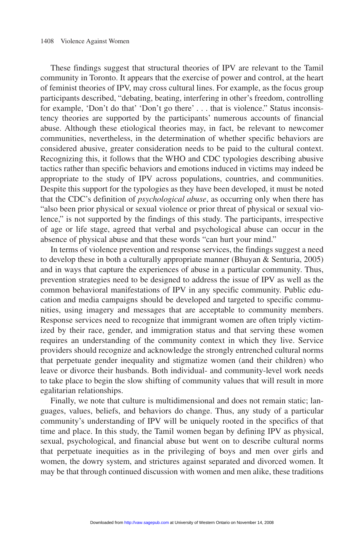These findings suggest that structural theories of IPV are relevant to the Tamil community in Toronto. It appears that the exercise of power and control, at the heart of feminist theories of IPV, may cross cultural lines. For example, as the focus group participants described, "debating, beating, interfering in other's freedom, controlling for example, 'Don't do that' 'Don't go there' . . . that is violence." Status inconsistency theories are supported by the participants' numerous accounts of financial abuse. Although these etiological theories may, in fact, be relevant to newcomer communities, nevertheless, in the determination of whether specific behaviors are considered abusive, greater consideration needs to be paid to the cultural context. Recognizing this, it follows that the WHO and CDC typologies describing abusive tactics rather than specific behaviors and emotions induced in victims may indeed be appropriate to the study of IPV across populations, countries, and communities. Despite this support for the typologies as they have been developed, it must be noted that the CDC's definition of *psychological abuse*, as occurring only when there has "also been prior physical or sexual violence or prior threat of physical or sexual violence," is not supported by the findings of this study. The participants, irrespective of age or life stage, agreed that verbal and psychological abuse can occur in the absence of physical abuse and that these words "can hurt your mind."

In terms of violence prevention and response services, the findings suggest a need to develop these in both a culturally appropriate manner (Bhuyan & Senturia, 2005) and in ways that capture the experiences of abuse in a particular community. Thus, prevention strategies need to be designed to address the issue of IPV as well as the common behavioral manifestations of IPV in any specific community. Public education and media campaigns should be developed and targeted to specific communities, using imagery and messages that are acceptable to community members. Response services need to recognize that immigrant women are often triply victimized by their race, gender, and immigration status and that serving these women requires an understanding of the community context in which they live. Service providers should recognize and acknowledge the strongly entrenched cultural norms that perpetuate gender inequality and stigmatize women (and their children) who leave or divorce their husbands. Both individual- and community-level work needs to take place to begin the slow shifting of community values that will result in more egalitarian relationships.

Finally, we note that culture is multidimensional and does not remain static; languages, values, beliefs, and behaviors do change. Thus, any study of a particular community's understanding of IPV will be uniquely rooted in the specifics of that time and place. In this study, the Tamil women began by defining IPV as physical, sexual, psychological, and financial abuse but went on to describe cultural norms that perpetuate inequities as in the privileging of boys and men over girls and women, the dowry system, and strictures against separated and divorced women. It may be that through continued discussion with women and men alike, these traditions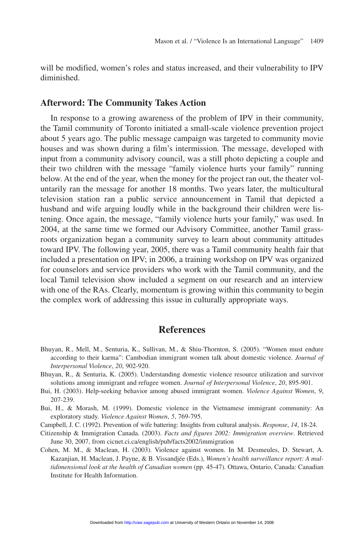will be modified, women's roles and status increased, and their vulnerability to IPV diminished.

#### **Afterword: The Community Takes Action**

In response to a growing awareness of the problem of IPV in their community, the Tamil community of Toronto initiated a small-scale violence prevention project about 5 years ago. The public message campaign was targeted to community movie houses and was shown during a film's intermission. The message, developed with input from a community advisory council, was a still photo depicting a couple and their two children with the message "family violence hurts your family" running below. At the end of the year, when the money for the project ran out, the theater voluntarily ran the message for another 18 months. Two years later, the multicultural television station ran a public service announcement in Tamil that depicted a husband and wife arguing loudly while in the background their children were listening. Once again, the message, "family violence hurts your family," was used. In 2004, at the same time we formed our Advisory Committee, another Tamil grassroots organization began a community survey to learn about community attitudes toward IPV. The following year, 2005, there was a Tamil community health fair that included a presentation on IPV; in 2006, a training workshop on IPV was organized for counselors and service providers who work with the Tamil community, and the local Tamil television show included a segment on our research and an interview with one of the RAs. Clearly, momentum is growing within this community to begin the complex work of addressing this issue in culturally appropriate ways.

### **References**

- Bhuyan, R., Mell, M., Senturia, K., Sullivan, M., & Shiu-Thornton, S. (2005). "Women must endure according to their karma": Cambodian immigrant women talk about domestic violence. *Journal of Interpersonal Violence*, *20*, 902-920.
- Bhuyan, R., & Senturia, K. (2005). Understanding domestic violence resource utilization and survivor solutions among immigrant and refugee women. *Journal of Interpersonal Violence*, *20*, 895-901.
- Bui, H. (2003). Help-seeking behavior among abused immigrant women. *Violence Against Women*, *9*, 207-239.
- Bui, H., & Morash, M. (1999). Domestic violence in the Vietnamese immigrant community: An exploratory study. *Violence Against Women*, *5*, 769-795.
- Campbell, J. C. (1992). Prevention of wife battering: Insights from cultural analysis. *Response*, *14*, 18-24.
- Citizenship & Immigration Canada. (2003). *Facts and figures 2002: Immigration overview*. Retrieved June 30, 2007, from cicnet.ci.ca/english/pub/facts2002/immigration
- Cohen, M. M., & Maclean, H. (2003). Violence against women. In M. Desmeules, D. Stewart, A. Kazanjian, H. Maclean, J. Payne, & B. Vissandjée (Eds.), *Women's health surveillance report: A multidimensional look at the health of Canadian women* (pp. 45-47). Ottawa, Ontario, Canada: Canadian Institute for Health Information.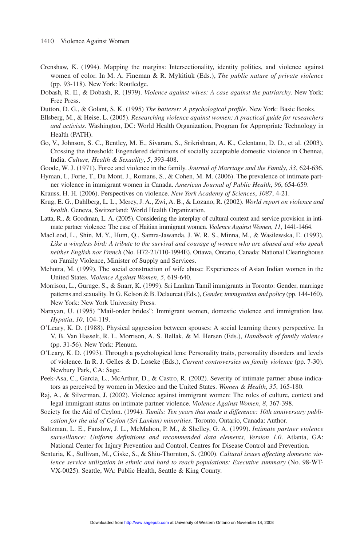- Crenshaw, K. (1994). Mapping the margins: Intersectionality, identity politics, and violence against women of color. In M. A. Fineman & R. Mykitiuk (Eds.), *The public nature of private violence* (pp. 93-118). New York: Routledge.
- Dobash, R. E., & Dobash, R. (1979). *Violence against wives: A case against the patriarchy*. New York: Free Press.
- Dutton, D. G., & Golant, S. K. (1995) *The batterer: A psychological profile*. New York: Basic Books.
- Ellsberg, M., & Heise, L. (2005). *Researching violence against women: A practical guide for researchers and activists*. Washington, DC: World Health Organization, Program for Appropriate Technology in Health (PATH).
- Go, V., Johnson, S. C., Bentley, M. E., Sivaram, S., Srikrishnan, A. K., Celentano, D. D., et al. (2003). Crossing the threshold: Engendered definitions of socially acceptable domestic violence in Chennai, India. *Culture, Health & Sexuality*, *5*, 393-408.
- Goode, W. J. (1971). Force and violence in the family. *Journal of Marriage and the Family*, *33*, 624-636.
- Hyman, I., Forte, T., Du Mont, J., Romans, S., & Cohen, M. M. (2006). The prevalence of intimate partner violence in immigrant women in Canada. *American Journal of Public Health*, *96*, 654-659.
- Krauss, H. H. (2006). Perspectives on violence. *New York Academy of Sciences*, *1087*, 4-21.
- Krug, E. G., Dahlberg, L. L., Mercy, J. A., Zwi, A. B., & Lozano, R. (2002). *World report on violence and health*. Geneva, Switzerland: World Health Organization.
- Latta, R., & Goodman, L. A. (2005). Considering the interplay of cultural context and service provision in intimate partner violence: The case of Haitian immigrant women. *Violence Against Women*, *11*, 1441-1464.
- MacLeod, L., Shin, M. Y., Hum, Q., Samra-Jawanda, J. W. R. S., Minna, M., & Wasilewska, E. (1993). *Like a wingless bird: A tribute to the survival and courage of women who are abused and who speak neither English nor French* (No. H72-21/110-1994E). Ottawa, Ontario, Canada: National Clearinghouse on Family Violence, Minister of Supply and Services.
- Mehotra, M. (1999). The social construction of wife abuse: Experiences of Asian Indian women in the United States. *Violence Against Women*, *5*, 619-640.
- Morrison, L., Guruge, S., & Snarr, K. (1999). Sri Lankan Tamil immigrants in Toronto: Gender, marriage patterns and sexuality. In G. Kelson & B. Delaureat (Eds.), *Gender, immigration and policy* (pp. 144-160). New York: New York University Press.
- Narayan, U. (1995) "Mail-order brides": Immigrant women, domestic violence and immigration law. *Hypatia*, *10*, 104-119.
- O'Leary, K. D. (1988). Physical aggression between spouses: A social learning theory perspective. In V. B. Van Hasselt, R. L. Morrison, A. S. Bellak, & M. Hersen (Eds.), *Handbook of family violence* (pp. 31-56). New York: Plenum.
- O'Leary, K. D. (1993). Through a psychological lens: Personality traits, personality disorders and levels of violence. In R. J. Gelles & D. Loseke (Eds.), *Current controversies on family violence* (pp. 7-30). Newbury Park, CA: Sage.
- Peek-Asa, C., Garcia, L., McArthur, D., & Castro, R. (2002). Severity of intimate partner abuse indicators as perceived by women in Mexico and the United States. *Women & Health*, *35*, 165-180.
- Raj, A., & Silverman, J. (2002). Violence against immigrant women: The roles of culture, context and legal immigrant status on intimate partner violence. *Violence Against Women*, *8*, 367-398.
- Society for the Aid of Ceylon. (1994). *Tamils: Ten years that made a difference: 10th anniversary publication for the aid of Ceylon (Sri Lankan) minorities*. Toronto, Ontario, Canada: Author.
- Saltzman, L. E., Fanslow, J. L., McMahon, P. M., & Shelley, G. A. (1999). *Intimate partner violence surveillance: Uniform definitions and recommended data elements, Version 1.0*. Atlanta, GA: National Center for Injury Prevention and Control, Centres for Disease Control and Prevention.
- Senturia, K., Sullivan, M., Ciske, S., & Shiu-Thornton, S. (2000). *Cultural issues affecting domestic violence service utilization in ethnic and hard to reach populations: Executive summary* (No. 98-WT-VX-0025). Seattle, WA: Public Health, Seattle & King County.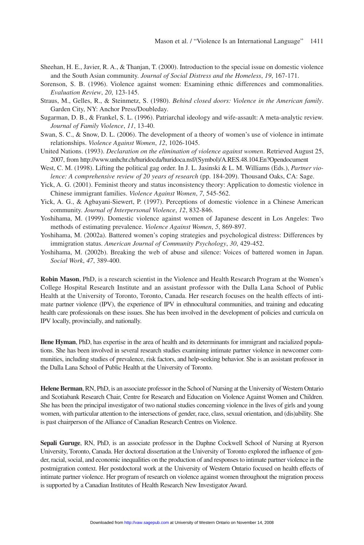- Sheehan, H. E., Javier, R. A., & Thanjan, T. (2000). Introduction to the special issue on domestic violence and the South Asian community. *Journal of Social Distress and the Homeless*, *19*, 167-171.
- Sorenson, S. B. (1996). Violence against women: Examining ethnic differences and commonalities. *Evaluation Review*, *20*, 123-145.
- Straus, M., Gelles, R., & Steinmetz, S. (1980). *Behind closed doors: Violence in the American family*. Garden City, NY: Anchor Press/Doubleday.
- Sugarman, D. B., & Frankel, S. L. (1996). Patriarchal ideology and wife-assault: A meta-analytic review. *Journal of Family Violence*, *11*, 13-40.
- Swan, S. C., & Snow, D. L. (2006). The development of a theory of women's use of violence in intimate relationships. *Violence Against Women*, *12*, 1026-1045.
- United Nations. (1993). *Declaration on the elimination of violence against women*. Retrieved August 25, 2007, from http://www.unhchr.ch/huridocda/huridoca.nsf/(Symbol)/A.RES.48.104.En?Opendocument
- West, C. M. (1998). Lifting the political gag order. In J. L. Jasinski & L. M. Williams (Eds.), *Partner violence: A comprehensive review of 20 years of research* (pp. 184-209). Thousand Oaks, CA: Sage.
- Yick, A. G. (2001). Feminist theory and status inconsistency theory: Application to domestic violence in Chinese immigrant families. *Violence Against Women*, *7*, 545-562.
- Yick, A. G., & Agbayani-Siewert, P. (1997). Perceptions of domestic violence in a Chinese American community. *Journal of Interpersonal Violence*, *12*, 832-846.
- Yoshihama, M. (1999). Domestic violence against women of Japanese descent in Los Angeles: Two methods of estimating prevalence. *Violence Against Women*, *5*, 869-897.
- Yoshihama, M. (2002a). Battered women's coping strategies and psychological distress: Differences by immigration status. *American Journal of Community Psychology*, *30*, 429-452.
- Yoshihama, M. (2002b). Breaking the web of abuse and silence: Voices of battered women in Japan. *Social Work*, *47*, 389-400.

**Robin Mason**, PhD, is a research scientist in the Violence and Health Research Program at the Women's College Hospital Research Institute and an assistant professor with the Dalla Lana School of Public Health at the University of Toronto, Toronto, Canada. Her research focuses on the health effects of intimate partner violence (IPV), the experience of IPV in ethnocultural communities, and training and educating health care professionals on these issues. She has been involved in the development of policies and curricula on IPV locally, provincially, and nationally.

**Ilene Hyman**, PhD, has expertise in the area of health and its determinants for immigrant and racialized populations. She has been involved in several research studies examining intimate partner violence in newcomer communities, including studies of prevalence, risk factors, and help-seeking behavior. She is an assistant professor in the Dalla Lana School of Public Health at the University of Toronto.

**Helene Berman**, RN, PhD, is an associate professor in the School of Nursing at the University of Western Ontario and Scotiabank Research Chair, Centre for Research and Education on Violence Against Women and Children. She has been the principal investigator of two national studies concerning violence in the lives of girls and young women, with particular attention to the intersections of gender, race, class, sexual orientation, and (dis)ability. She is past chairperson of the Alliance of Canadian Research Centres on Violence.

**Sepali Guruge**, RN, PhD, is an associate professor in the Daphne Cockwell School of Nursing at Ryerson University, Toronto, Canada. Her doctoral dissertation at the University of Toronto explored the influence of gender, racial, social, and economic inequalities on the production of and responses to intimate partner violence in the postmigration context. Her postdoctoral work at the University of Western Ontario focused on health effects of intimate partner violence. Her program of research on violence against women throughout the migration process is supported by a Canadian Institutes of Health Research New Investigator Award.